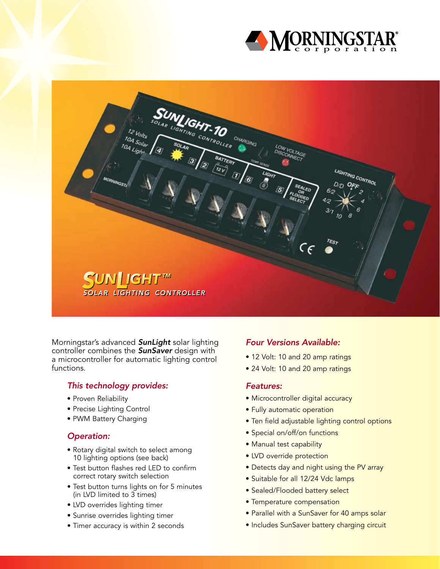

SUNIGHT-10 CHARGING 10A Solar<br>24 BATTERY IT LIGHTING CONTROL SUN∐GHT™ *SOLAR LIGHTING CONTROLLER*

Morningstar's advanced *SunLight* solar lighting controller combines the *SunSaver* design with a microcontroller for automatic lighting control functions.

### *This technology provides:*

- Proven Reliability
- Precise Lighting Control
- PWM Battery Charging

#### *Operation:*

- Rotary digital switch to select among 10 lighting options (see back)
- Test button flashes red LED to confirm correct rotary switch selection
- Test button turns lights on for 5 minutes (in LVD limited to 3 times)
- LVD overrides lighting timer
- Sunrise overrides lighting timer
- Timer accuracy is within 2 seconds

### *Four Versions Available:*

- 12 Volt: 10 and 20 amp ratings
- 24 Volt: 10 and 20 amp ratings

#### *Features:*

- Microcontroller digital accuracy
- Fully automatic operation
- Ten field adjustable lighting control options
- Special on/off/on functions
- Manual test capability
- LVD override protection
- Detects day and night using the PV array
- Suitable for all 12/24 Vdc lamps
- Sealed/Flooded battery select
- Temperature compensation
- Parallel with a SunSaver for 40 amps solar
- Includes SunSaver battery charging circuit